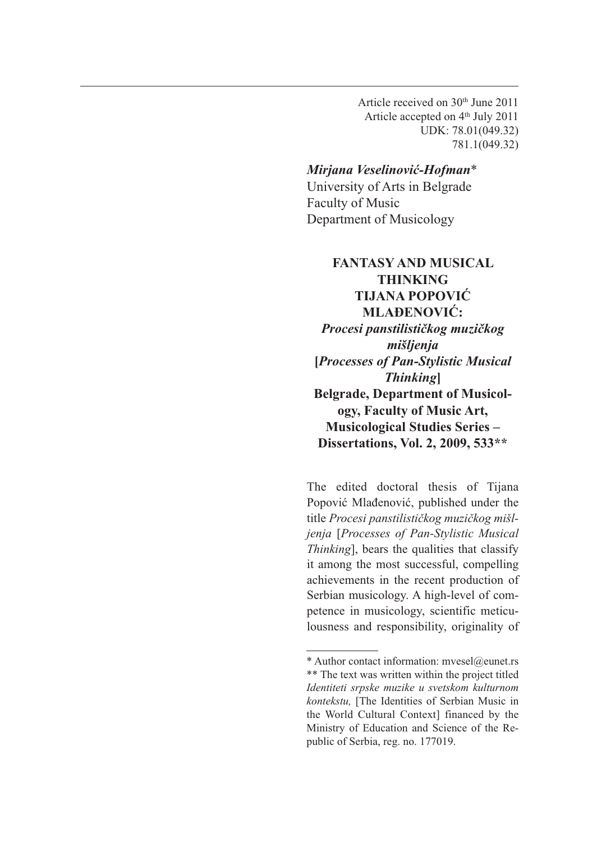Article received on 30th June 2011 Article accepted on 4<sup>th</sup> July 2011 UDK: 78.01(049.32) 781.1(049.32)

## *Mirjana Veselinović-Hofman*\*

University of Arts in Belgrade Faculty of Music Department of Musicology

## **FANTASY AND MUSICAL THINKING TIJANA POPOVIĆ MLAĐENOVIĆ:**  *Procesi panstilističkog muzičkog mišljenja* **[***Processes of Pan-Stylistic Musical Thinking***] Belgrade, Department of Musicology, Faculty of Music Art, Musicological Studies Series – Dissertations, Vol. 2, 2009, 533\*\***

The edited doctoral thesis of Tijana Popović Mlađenović, published under the title *Procesi panstilističkog muzičkog mišljenja* [*Processes of Pan-Stylistic Musical Thinking*], bears the qualities that classify it among the most successful, compelling achievements in the recent production of Serbian musicology. A high-level of competence in musicology, scientific meticulousness and responsibility, originality of

<sup>\*</sup> Author contact information: mvesel@eunet.rs \*\* The text was written within the project titled *Identiteti srpske muzike u svetskom kulturnom kontekstu,* [The Identities of Serbian Music in the World Cultural Context] financed by the Ministry of Education and Science of the Republic of Serbia, reg. no. 177019.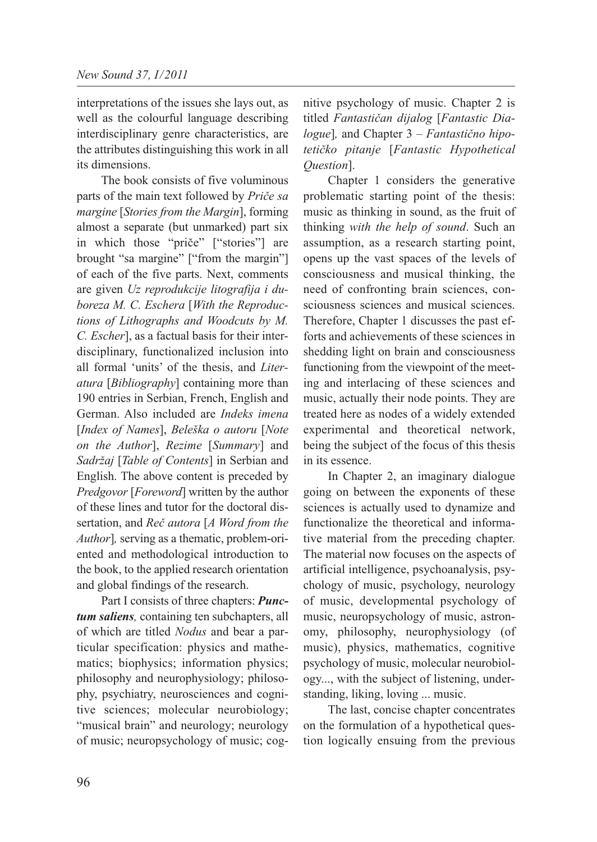interpretations of the issues she lays out, as well as the colourful language describing interdisciplinary genre characteristics, are the attributes distinguishing this work in all its dimensions.

The book consists of five voluminous parts of the main text followed by *Priče sa margine* [*Stories from the Margin*], forming almost a separate (but unmarked) part six in which those "priče" ["stories"] are brought "sa margine" ["from the margin"] of each of the five parts. Next, comments are given *Uz reprodukcije litografija i duboreza M. C. Eschera* [*With the Reproductions of Lithographs and Woodcuts by M. C. Escher*], as a factual basis for their interdisciplinary, functionalized inclusion into all formal 'units' of the thesis, and *Literatura* [*Bibliography*] containing more than 190 entries in Serbian, French, English and German. Also included are *Indeks imena* [*Index of Names*], *Beleška o autoru* [*Note on the Author*], *Rezime* [*Summary*] and *Sadržaj* [*Table of Contents*] in Serbian and English. The above content is preceded by *Predgovor* [*Foreword*] written by the author of these lines and tutor for the doctoral dissertation, and *Reč autora* [*A Word from the Author*]*,* serving as a thematic, problem-oriented and methodological introduction to the book, to the applied research orientation and global findings of the research.

Part I consists of three chapters: *Punctum saliens,* containing ten subchapters, all of which are titled *Nodus* and bear a particular specification: physics and mathematics; biophysics; information physics; philosophy and neurophysiology; philosophy, psychiatry, neurosciences and cognitive sciences; molecular neurobiology; "musical brain" and neurology; neurology of music; neuropsychology of music; cognitive psychology of music. Chapter 2 is titled *Fantastičan dijalog* [*Fantastic Dialogue*]*,* and Chapter 3 – *Fantastično hipo tetičko pitanje* [*Fantastic Hypothetical Question*].

Chapter 1 considers the generative problematic starting point of the thesis: music as thinking in sound, as the fruit of thinking *with the help of sound*. Such an assumption, as a research starting point, opens up the vast spaces of the levels of consciousness and musical thinking, the need of confronting brain sciences, consciousness sciences and musical sciences. Therefore, Chapter 1 discusses the past efforts and achievements of these sciences in shedding light on brain and consciousness functioning from the viewpoint of the meeting and interlacing of these sciences and music, actually their node points. They are treated here as nodes of a widely extended experimental and theoretical network, being the subject of the focus of this thesis in its essence.

In Chapter 2, an imaginary dialogue going on between the exponents of these sciences is actually used to dynamize and functionalize the theoretical and informative material from the preceding chapter. The material now focuses on the aspects of artificial intelligence, psychoanalysis, psychology of music, psychology, neurology of music, developmental psychology of music, neuropsychology of music, astronomy, philosophy, neurophysiology (of music), physics, mathematics, cognitive psychology of music, molecular neurobiology..., with the subject of listening, understanding, liking, loving ... music.

The last, concise chapter concentrates on the formulation of a hypothetical question logically ensuing from the previous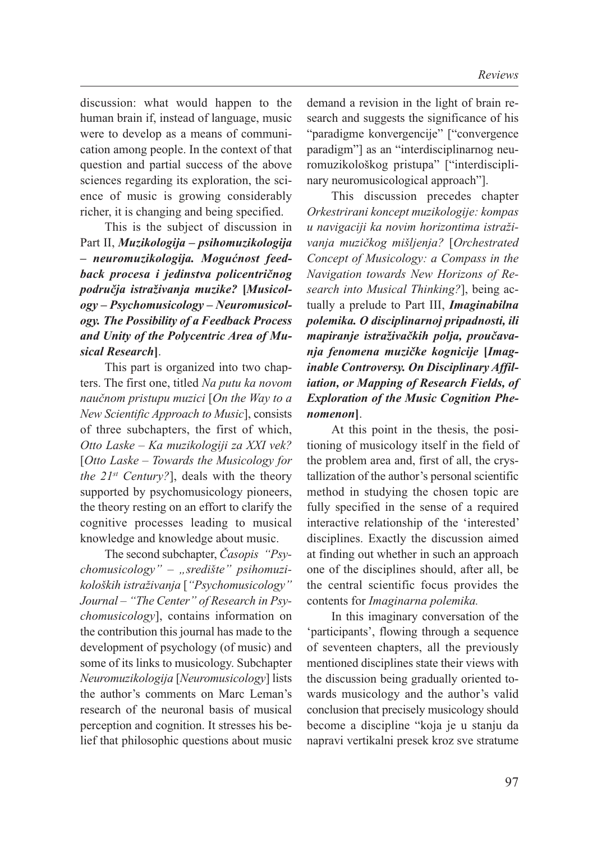discussion: what would happen to the human brain if, instead of language, music were to develop as a means of communication among people. In the context of that question and partial success of the above sciences regarding its exploration, the science of music is growing considerably richer, it is changing and being specified.

This is the subject of discussion in Part II, *Muzikologija – psihomuzikologija – neuromuzikologija. Mogućnost feedback procesa i jedinstva policentričnog područja istraživanja muzike?* **[***Musicology – Psychomusicology – Neuromusicology. The Possibility of a Feedback Process and Unity of the Polycentric Area of Musical Research***]**.

This part is organized into two chapters. The first one, titled *Na putu ka novom naučnom pristupu muzici* [*On the Way to a New Scientific Approach to Music*], consists of three subchapters, the first of which, *Otto Laske – Ka muzikologiji za XXI vek?* [*Otto Laske – Towards the Musicology for the 21st Century?*], deals with the theory supported by psychomusicology pioneers, the theory resting on an effort to clarify the cognitive processes leading to musical knowledge and knowledge about music.

The second subchapter, *Časopis "Psychomusicology" – "središte" psihomuzikoloških istraživanja* [*"Psychomusicology" Journal – "The Center" of Research in Psychomusicology*], contains information on the contribution this journal has made to the development of psychology (of music) and some of its links to musicology. Subchapter *Neuromuzikologija* [*Neuromusicology*] lists the author's comments on Marc Leman's research of the neuronal basis of musical perception and cognition. It stresses his belief that philosophic questions about music demand a revision in the light of brain research and suggests the significance of his "paradigme konvergencije" ["convergence paradigm"] as an "interdisciplinarnog neuromuzikološkog pristupa" ["interdisciplinary neuromusicological approach"].

This discussion precedes chapter *Orkestrirani koncept muzikologije: kompas u navigaciji ka novim horizontima istraživanja muzičkog mišljenja?* [*Orchestrated Concept of Musicology: a Compass in the Navigation towards New Horizons of Research into Musical Thinking?*], being actually a prelude to Part III, *Imaginabilna polemika. O disciplinarnoj pripadnosti, ili mapiranje istraživačkih polja, proučava nja fenomena muzičke kognicije* **[***Imaginable Controversy. On Disciplinary Affiliation, or Mapping of Research Fields, of Exploration of the Music Cognition Phenomenon***]**.

At this point in the thesis, the positioning of musicology itself in the field of the problem area and, first of all, the crystallization of the author's personal scientific method in studying the chosen topic are fully specified in the sense of a required interactive relationship of the 'interested' disciplines. Exactly the discussion aimed at finding out whether in such an approach one of the disciplines should, after all, be the central scientific focus provides the contents for *Imaginarna polemika.*

In this imaginary conversation of the 'participants', flowing through a sequence of seventeen chapters, all the previously mentioned disciplines state their views with the discussion being gradually oriented towards musicology and the author's valid conclusion that precisely musicology should become a discipline "koja je u stanju da napravi vertikalni presek kroz sve stratume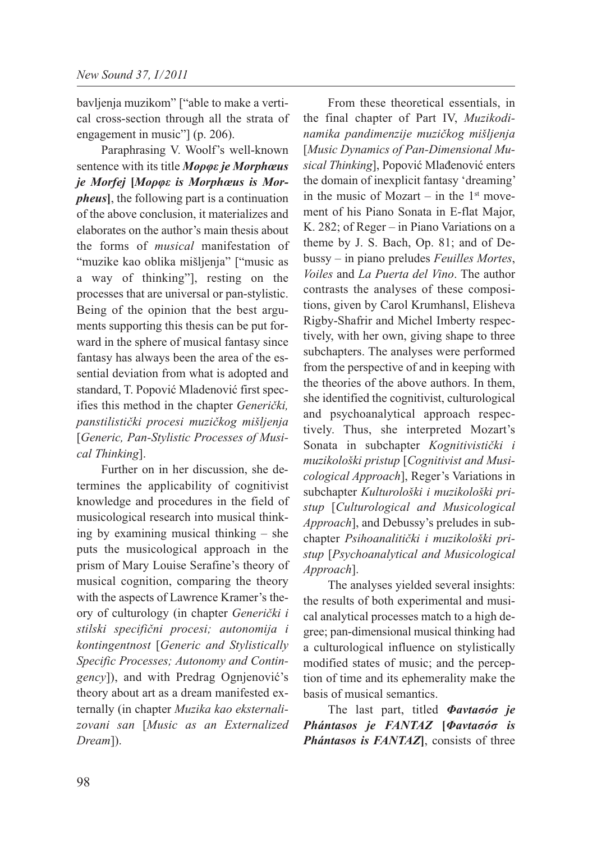bavljenja muzikom" ["able to make a vertical cross-section through all the strata of engagement in music"] (p. 206).

Paraphrasing V. Woolf's well-known sentence with its title *Moρφε je Morphœus je Morfej* **[***Moρφε is Morphœus is Morpheus***]**, the following part is a continuation of the above conclusion, it materializes and elaborates on the author's main thesis about the forms of *musical* manifestation of "muzike kao oblika mišljenja" ["music as a way of thinking"], resting on the processes that are universal or pan-stylistic. Being of the opinion that the best arguments supporting this thesis can be put forward in the sphere of musical fantasy since fantasy has always been the area of the essential deviation from what is adopted and standard, T. Popović Mladenović first specifies this method in the chapter *Generički, panstilistički procesi muzičkog mišljenja* [*Generic, Pan-Stylistic Processes of Musical Thinking*].

Further on in her discussion, she determines the applicability of cognitivist knowledge and procedures in the field of musicological research into musical thinking by examining musical thinking – she puts the musicological approach in the prism of Mary Louise Serafine's theory of musical cognition, comparing the theory with the aspects of Lawrence Kramer's theory of culturology (in chapter *Generički i stilski specifični procesi; autonomija i kontingentnost* [*Generic and Stylistically Specific Processes; Autonomy and Contingency*]), and with Predrag Ognjenović's theory about art as a dream manifested externally (in chapter *Muzika kao eksternalizovani san* [*Music as an Externalized Dream*]).

From these theoretical essentials, in the final chapter of Part IV, *Muzikodinamika pandimenzije muzičkog mišljenja* [*Music Dynamics of Pan-Dimensional Musical Thinking*], Popović Mlađenović enters the domain of inexplicit fantasy 'dreaming' in the music of Mozart – in the  $1<sup>st</sup>$  movement of his Piano Sonata in E-flat Major, K. 282; of Reger – in Piano Variations on a theme by J. S. Bach, Op. 81; and of Debussy – in piano preludes *Feuilles Mortes*, *Voiles* and *La Puerta del Vino*. The author contrasts the analyses of these compositions, given by Carol Krumhansl, Elisheva Rigby-Shafrir and Michel Imberty respectively, with her own, giving shape to three subchapters. The analyses were performed from the perspective of and in keeping with the theories of the above authors. In them, she identified the cognitivist, culturological and psychoanalytical approach respectively. Thus, she interpreted Mozart's Sonata in subchapter *Kognitivistički i muzikološki pristup* [*Cognitivist and Musicological Approach*], Reger's Variations in subchapter *Kulturološki i muzikološki pri stup* [*Culturological and Musicological Approach*], and Debussy's preludes in subchapter *Psihoanalitički i muzikološki pri stup* [*Psychoanalytical and Musicological Approach*].

The analyses yielded several insights: the results of both experimental and musical analytical processes match to a high degree; pan-dimensional musical thinking had a culturological influence on stylistically modified states of music; and the perception of time and its ephemerality make the basis of musical semantics.

The last part, titled *Φavtaσóσ je Phántasos je FANTAZ* **[***Φavtaσóσ is Phántasos is FANTAZ***]**, consists of three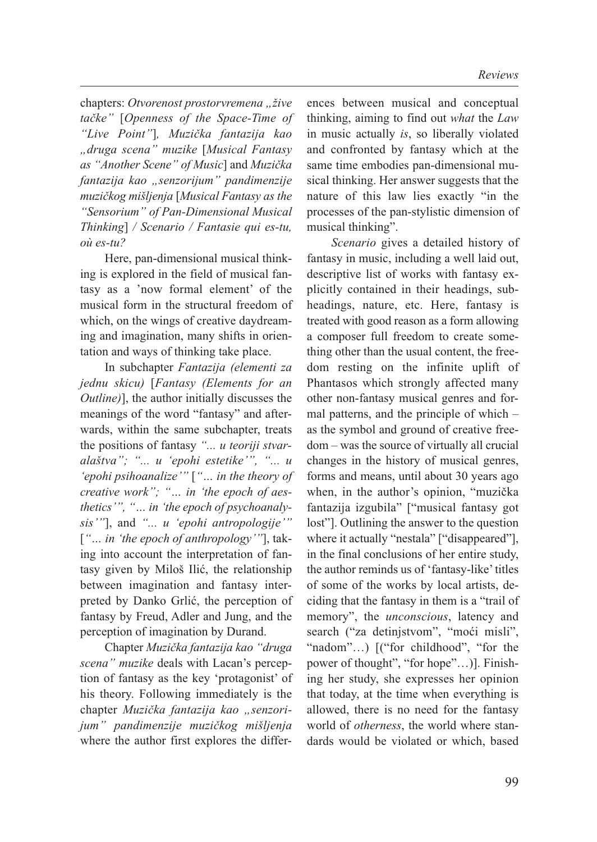chapters: *Otvorenost prostorvremena* "žive *tačke"* [*Openness of the Space-Time of "Live Point"*]*, Muzička fantazija kao "druga scena" muzike* [*Musical Fantasy as "Another Scene" of Music*] and *Muzička fantazija kao "senzorijum" pandimenzije muzičkog mišljenja* [*Musical Fantasy as the "Sensorium" of Pan-Dimensional Musical Thinking*] */ Scenario / Fantasie qui es-tu, où es-tu?*

Here, pan-dimensional musical thinking is explored in the field of musical fantasy as a 'now formal element' of the musical form in the structural freedom of which, on the wings of creative daydreaming and imagination, many shifts in orientation and ways of thinking take place.

In subchapter *Fantazija (elementi za jednu skicu)* [*Fantasy (Elements for an Outline)*], the author initially discusses the meanings of the word "fantasy" and afterwards, within the same subchapter, treats the positions of fantasy *"... u teoriji stvaralaštva"; "... u 'epohi estetike'", "... u 'epohi psihoanalize'"* [*"… in the theory of creative work"; "… in 'the epoch of aesthetics'", "… in 'the epoch of psychoanalysis'"*], and *"... u 'epohi antropologije'"* [*"… in 'the epoch of anthropology'"*], taking into account the interpretation of fantasy given by Miloš Ilić, the relationship between imagination and fantasy interpreted by Danko Grlić, the perception of fantasy by Freud, Adler and Jung, and the perception of imagination by Durand.

Chapter *Muzička fantazija kao "druga scena" muzike* deals with Lacan's perception of fantasy as the key 'protagonist' of his theory. Following immediately is the chapter Muzička fantazija kao "senzori*jum" pandimenzije muzičkog mišljenja* where the author first explores the differ-

ences between musical and conceptual thinking, aiming to find out *what* the *Law* in music actually *is*, so liberally violated and confronted by fantasy which at the same time embodies pan-dimensional musical thinking. Her answer suggests that the nature of this law lies exactly "in the processes of the pan-stylistic dimension of musical thinking".

*Scenario* gives a detailed history of fantasy in music, including a well laid out, descriptive list of works with fantasy explicitly contained in their headings, subheadings, nature, etc. Here, fantasy is treated with good reason as a form allowing a composer full freedom to create something other than the usual content, the freedom resting on the infinite uplift of Phantasos which strongly affected many other non-fantasy musical genres and formal patterns, and the principle of which – as the symbol and ground of creative freedom – was the source of virtually all crucial changes in the history of musical genres, forms and means, until about 30 years ago when, in the author's opinion, "muzička fantazija izgubila" ["musical fantasy got lost"]. Outlining the answer to the question where it actually "nestala" ["disappeared"], in the final conclusions of her entire study, the author reminds us of 'fantasy-like' titles of some of the works by local artists, deciding that the fantasy in them is a "trail of memory", the *unconscious*, latency and search ("za detinjstvom", "moći misli", "nadom"...) [("for childhood", "for the power of thought", "for hope"…)]. Finishing her study, she expresses her opinion that today, at the time when everything is allowed, there is no need for the fantasy world of *otherness*, the world where standards would be violated or which, based